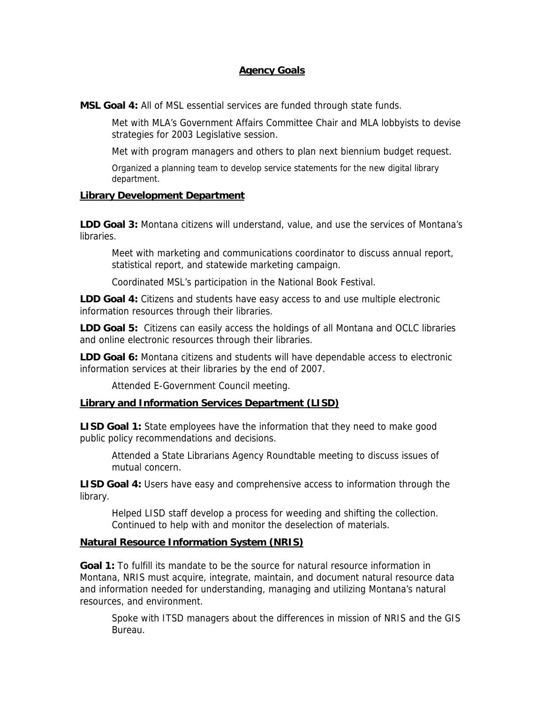## **Agency Goals**

**MSL Goal 4:** All of MSL essential services are funded through state funds.

Met with MLA's Government Affairs Committee Chair and MLA lobbyists to devise strategies for 2003 Legislative session.

Met with program managers and others to plan next biennium budget request.

Organized a planning team to develop service statements for the new digital library department.

## **Library Development Department**

**LDD Goal 3:** Montana citizens will understand, value, and use the services of Montana's libraries.

Meet with marketing and communications coordinator to discuss annual report, statistical report, and statewide marketing campaign.

Coordinated MSL's participation in the National Book Festival.

**LDD Goal 4:** Citizens and students have easy access to and use multiple electronic information resources through their libraries.

**LDD Goal 5:** Citizens can easily access the holdings of all Montana and OCLC libraries and online electronic resources through their libraries.

**LDD Goal 6:** Montana citizens and students will have dependable access to electronic information services at their libraries by the end of 2007.

Attended E-Government Council meeting.

## **Library and Information Services Department (LISD)**

**LISD Goal 1:** State employees have the information that they need to make good public policy recommendations and decisions.

Attended a State Librarians Agency Roundtable meeting to discuss issues of mutual concern.

**LISD Goal 4:** Users have easy and comprehensive access to information through the library.

Helped LISD staff develop a process for weeding and shifting the collection. Continued to help with and monitor the deselection of materials.

## **Natural Resource Information System (NRIS)**

**Goal 1:** To fulfill its mandate to be the source for natural resource information in Montana, NRIS must acquire, integrate, maintain, and document natural resource data and information needed for understanding, managing and utilizing Montana's natural resources, and environment.

Spoke with ITSD managers about the differences in mission of NRIS and the GIS Bureau.